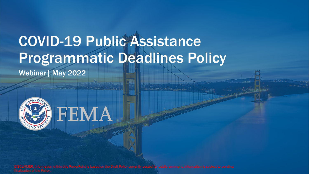# COVID-19 Public Assistance Programmatic Deadlines Policy

Webinar| May 2022

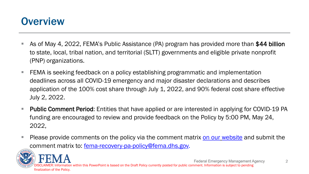#### **Overview**

- As of May 4, 2022, FEMA's Public Assistance (PA) program has provided more than \$44 billion to state, local, tribal nation, and territorial (SLTT) governments and eligible private nonprofit (PNP) organizations.
- FEMA is seeking feedback on a policy establishing programmatic and implementation deadlines across all COVID-19 emergency and major disaster declarations and describes application of the 100% cost share through July 1, 2022, and 90% federal cost share effective July 2, 2022.
- **Public Comment Period:** Entities that have applied or are interested in applying for COVID-19 PA funding are encouraged to review and provide feedback on the Policy by 5:00 PM, May 24, 2022,
- **Please provide comments on the policy via the comment matrix on our [website](https://www.fema.gov/event/fema-seeks-public-feedback-coronavirus-covid-19-pandemic-public-assistance-programmatic) and submit the** comment matrix to: [fema-recovery-pa-policy@fema.dhs.gov.](mailto:fema-recovery-pa-policy@fema.dhs.gov)



Federal Emergency Management Agency tion within this PowerPoint is based on the Draft Policy currently posted for public comment. Information is subject to pending finalization of the Policy.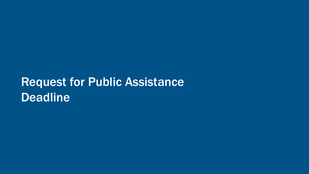## Request for Public Assistance Deadline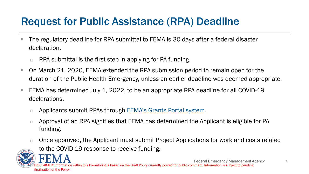#### Request for Public Assistance (RPA) Deadline

- The regulatory deadline for RPA submittal to FEMA is 30 days after a federal disaster declaration.
	- $\Box$  RPA submittal is the first step in applying for PA funding.
- On March 21, 2020, FEMA extended the RPA submission period to remain open for the duration of the Public Health Emergency, unless an earlier deadline was deemed appropriate.
- FEMA has determined July 1, 2022, to be an appropriate RPA deadline for all COVID-19 declarations.
	- □ Applicants submit RPAs through [FEMA's Grants Portal system](https://grantee.fema.gov/).
	- □ Approval of an RPA signifies that FEMA has determined the Applicant is eligible for PA funding.
	- $\Box$  Once approved, the Applicant must submit Project Applications for work and costs related to the COVID-19 response to receive funding.



Federal Emergency Management Agency nation within this PowerPoint is based on the Draft Policy currently posted for public comment. Information is subject to pending finalization of the Policy.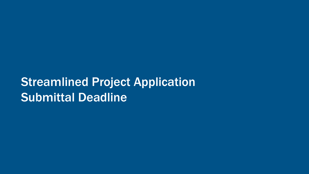### **Streamlined Project Application** Submittal Deadline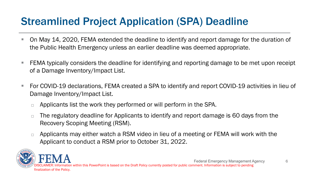#### Streamlined Project Application (SPA) Deadline

- On May 14, 2020, FEMA extended the deadline to identify and report damage for the duration of the Public Health Emergency unless an earlier deadline was deemed appropriate.
- FEMA typically considers the deadline for identifying and reporting damage to be met upon receipt of a Damage Inventory/Impact List.
- For COVID-19 declarations, FEMA created a SPA to identify and report COVID-19 activities in lieu of Damage Inventory/Impact List.
	- $\Box$  Applicants list the work they performed or will perform in the SPA.
	- $\Box$  The regulatory deadline for Applicants to identify and report damage is 60 days from the Recovery Scoping Meeting (RSM).
	- $\Box$  Applicants may either watch a RSM video in lieu of a meeting or FEMA will work with the Applicant to conduct a RSM prior to October 31, 2022.

Federal Emergency Management Agency tion within this PowerPoint is based on the Draft Policy currently posted for public comment. Information is subject to pending finalization of the Policy.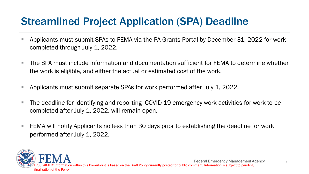#### Streamlined Project Application (SPA) Deadline

- Applicants must submit SPAs to FEMA via the PA Grants Portal by December 31, 2022 for work completed through July 1, 2022.
- The SPA must include information and documentation sufficient for FEMA to determine whether the work is eligible, and either the actual or estimated cost of the work.
- **Applicants must submit separate SPAs for work performed after July 1, 2022.**
- The deadline for identifying and reporting COVID-19 emergency work activities for work to be completed after July 1, 2022, will remain open.
- $\blacksquare$  FEMA will notify Applicants no less than 30 days prior to establishing the deadline for work performed after July 1, 2022.

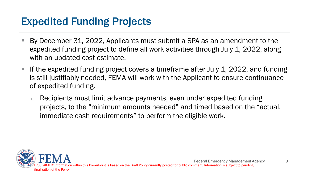#### Expedited Funding Projects

- By December 31, 2022, Applicants must submit a SPA as an amendment to the expedited funding project to define all work activities through July 1, 2022, along with an updated cost estimate.
- If the expedited funding project covers a timeframe after July 1, 2022, and funding is still justifiably needed, FEMA will work with the Applicant to ensure continuance of expedited funding.
	- $\Box$  Recipients must limit advance payments, even under expedited funding projects, to the "minimum amounts needed" and timed based on the "actual, immediate cash requirements" to perform the eligible work.

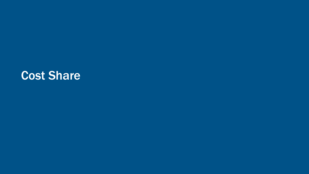#### Cost Share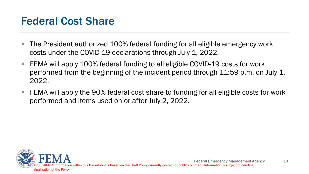#### Federal Cost Share

- The President authorized 100% federal funding for all eligible emergency work costs under the COVID-19 declarations through July 1, 2022.
- FEMA will apply 100% federal funding to all eligible COVID-19 costs for work performed from the beginning of the incident period through 11:59 p.m. on July 1, 2022.
- FEMA will apply the 90% federal cost share to funding for all eligible costs for work performed and items used on or after July 2, 2022.

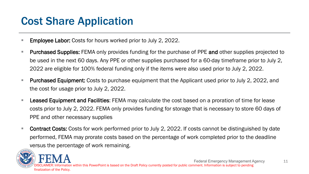#### Cost Share Application

- **Employee Labor:** Costs for hours worked prior to July 2, 2022.
- **Purchased Supplies: FEMA only provides funding for the purchase of PPE and other supplies projected to** be used in the next 60 days. Any PPE or other supplies purchased for a 60-day timeframe prior to July 2, 2022 are eligible for 100% federal funding only if the items were also used prior to July 2, 2022.
- **Purchased Equipment:** Costs to purchase equipment that the Applicant used prior to July 2, 2022, and the cost for usage prior to July 2, 2022.
- **Leased Equipment and Facilities:** FEMA may calculate the cost based on a proration of time for lease costs prior to July 2, 2022. FEMA only provides funding for storage that is necessary to store 60 days of PPE and other necessary supplies
- Contract Costs: Costs for work performed prior to July 2, 2022. If costs cannot be distinguished by date performed, FEMA may prorate costs based on the percentage of work completed prior to the deadline versus the percentage of work remaining.

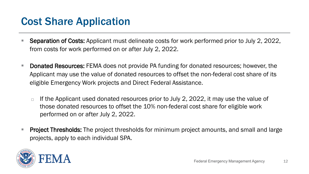#### Cost Share Application

- Separation of Costs: Applicant must delineate costs for work performed prior to July 2, 2022, from costs for work performed on or after July 2, 2022.
- **Donated Resources:** FEMA does not provide PA funding for donated resources; however, the Applicant may use the value of donated resources to offset the non-federal cost share of its eligible Emergency Work projects and Direct Federal Assistance.
	- $\Box$  If the Applicant used donated resources prior to July 2, 2022, it may use the value of those donated resources to offset the 10% non-federal cost share for eligible work performed on or after July 2, 2022.
- **Project Thresholds:** The project thresholds for minimum project amounts, and small and large projects, apply to each individual SPA.

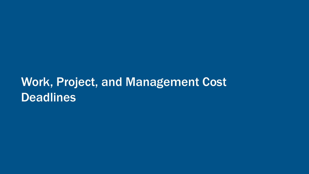### Work, Project, and Management Cost **Deadlines**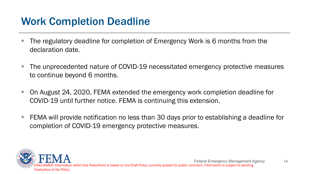#### Work Completion Deadline

- The regulatory deadline for completion of Emergency Work is 6 months from the declaration date.
- The unprecedented nature of COVID-19 necessitated emergency protective measures to continue beyond 6 months.
- On August 24, 2020, FEMA extended the emergency work completion deadline for COVID-19 until further notice. FEMA is continuing this extension.
- FEMA will provide notification no less than 30 days prior to establishing a deadline for completion of COVID-19 emergency protective measures.

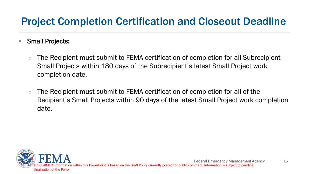#### Project Completion Certification and Closeout Deadline

- Small Projects:
	- The Recipient must submit to FEMA certification of completion for all Subrecipient Small Projects within 180 days of the Subrecipient's latest Small Project work completion date.
	- $\Box$  The Recipient must submit to FEMA certification of completion for all of the Recipient's Small Projects within 90 days of the latest Small Project work completion date.

15

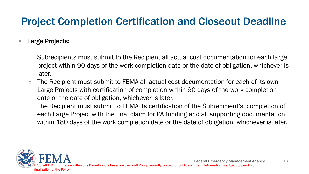#### Project Completion Certification and Closeout Deadline

#### ■ Large Projects:

- $\Box$  Subrecipients must submit to the Recipient all actual cost documentation for each large project within 90 days of the work completion date or the date of obligation, whichever is later.
- □ The Recipient must submit to FEMA all actual cost documentation for each of its own Large Projects with certification of completion within 90 days of the work completion date or the date of obligation, whichever is later.
- $\Box$  The Recipient must submit to FEMA its certification of the Subrecipient's completion of each Large Project with the final claim for PA funding and all supporting documentation within 180 days of the work completion date or the date of obligation, whichever is later.

16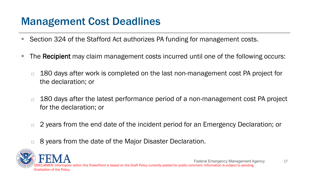#### Management Cost Deadlines

- Section 324 of the Stafford Act authorizes PA funding for management costs.
- The Recipient may claim management costs incurred until one of the following occurs:
	- $\Box$  180 days after work is completed on the last non-management cost PA project for the declaration; or
	- $\Box$  180 days after the latest performance period of a non-management cost PA project for the declaration; or
	- □ 2 years from the end date of the incident period for an Emergency Declaration; or
	- □ 8 years from the date of the Major Disaster Declaration.

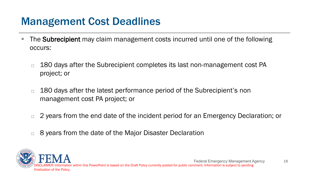#### Management Cost Deadlines

- The Subrecipient may claim management costs incurred until one of the following occurs:
	- $\Box$  180 days after the Subrecipient completes its last non-management cost PA project; or
	- $\Box$  180 days after the latest performance period of the Subrecipient's non management cost PA project; or
	- $\Box$  2 years from the end date of the incident period for an Emergency Declaration; or
	- □ 8 years from the date of the Major Disaster Declaration

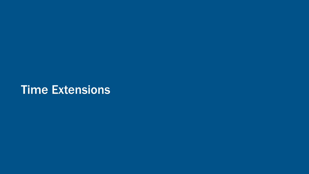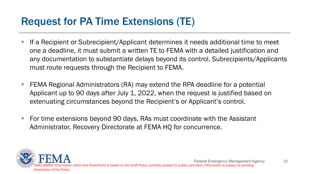#### Request for PA Time Extensions (TE)

- **If a Recipient or Subrecipient/Applicant determines it needs additional time to meet** one a deadline, it must submit a written TE to FEMA with a detailed justification and any documentation to substantiate delays beyond its control. Subrecipients/Applicants must route requests through the Recipient to FEMA.
- **FIMA Regional Administrators (RA) may extend the RPA deadline for a potential** Applicant up to 90 days after July 1, 2022, when the request is justified based on extenuating circumstances beyond the Recipient's or Applicant's control.
- For time extensions beyond 90 days, RAs must coordinate with the Assistant Administrator, Recovery Directorate at FEMA HQ for concurrence.

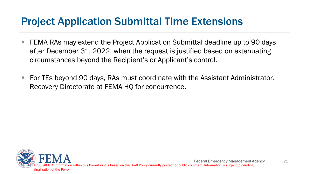#### Project Application Submittal Time Extensions

- FEMA RAs may extend the Project Application Submittal deadline up to 90 days after December 31, 2022, when the request is justified based on extenuating circumstances beyond the Recipient's or Applicant's control.
- For TEs beyond 90 days, RAs must coordinate with the Assistant Administrator, Recovery Directorate at FEMA HQ for concurrence.

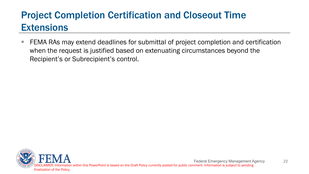#### Project Completion Certification and Closeout Time **Extensions**

**FIMA RAs may extend deadlines for submittal of project completion and certification** when the request is justified based on extenuating circumstances beyond the Recipient's or Subrecipient's control.

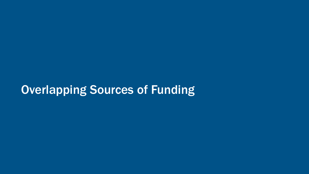#### Overlapping Sources of Funding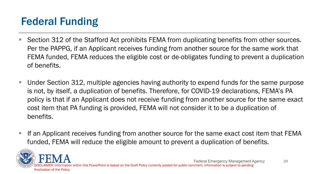### Federal Funding

- Section 312 of the Stafford Act prohibits FEMA from duplicating benefits from other sources. Per the PAPPG, if an Applicant receives funding from another source for the same work that FEMA funded, FEMA reduces the eligible cost or de-obligates funding to prevent a duplication of benefits.
- Under Section 312, multiple agencies having authority to expend funds for the same purpose is not, by itself, a duplication of benefits. Therefore, for COVID-19 declarations, FEMA's PA policy is that if an Applicant does not receive funding from another source for the same exact cost item that PA funding is provided, FEMA will not consider it to be a duplication of benefits.
- If an Applicant receives funding from another source for the same exact cost item that FEMA funded, FEMA will reduce the eligible amount to prevent a duplication of benefits.

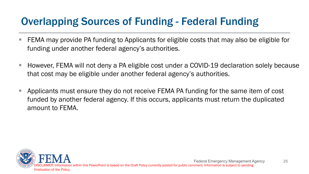#### Overlapping Sources of Funding - Federal Funding

- FEMA may provide PA funding to Applicants for eligible costs that may also be eligible for funding under another federal agency's authorities.
- However, FEMA will not deny a PA eligible cost under a COVID-19 declaration solely because that cost may be eligible under another federal agency's authorities.
- **Applicants must ensure they do not receive FEMA PA funding for the same item of cost** funded by another federal agency. If this occurs, applicants must return the duplicated amount to FEMA.

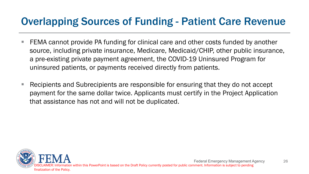#### Overlapping Sources of Funding - Patient Care Revenue

- FEMA cannot provide PA funding for clinical care and other costs funded by another source, including private insurance, Medicare, Medicaid/CHIP, other public insurance, a pre-existing private payment agreement, the COVID-19 Uninsured Program for uninsured patients, or payments received directly from patients.
- Recipients and Subrecipients are responsible for ensuring that they do not accept payment for the same dollar twice. Applicants must certify in the Project Application that assistance has not and will not be duplicated.

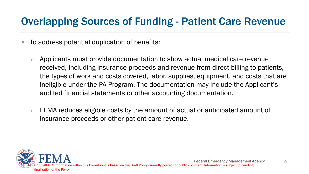#### Overlapping Sources of Funding - Patient Care Revenue

- To address potential duplication of benefits:
	- $\Box$  Applicants must provide documentation to show actual medical care revenue received, including insurance proceeds and revenue from direct billing to patients, the types of work and costs covered, labor, supplies, equipment, and costs that are ineligible under the PA Program. The documentation may include the Applicant's audited financial statements or other accounting documentation.
	- $\Box$  FEMA reduces eligible costs by the amount of actual or anticipated amount of insurance proceeds or other patient care revenue.

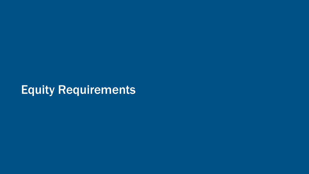### Equity Requirements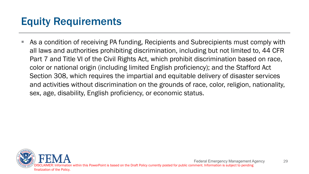#### Equity Requirements

 As a condition of receiving PA funding, Recipients and Subrecipients must comply with all laws and authorities prohibiting discrimination, including but not limited to, 44 CFR Part 7 and Title VI of the Civil Rights Act, which prohibit discrimination based on race, color or national origin (including limited English proficiency); and the Stafford Act Section 308, which requires the impartial and equitable delivery of disaster services and activities without discrimination on the grounds of race, color, religion, nationality, sex, age, disability, English proficiency, or economic status.

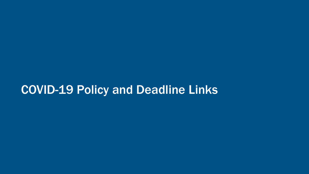#### COVID-19 Policy and Deadline Links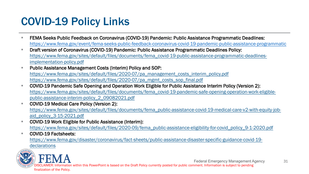#### COVID-19 Policy Links

- FEMA Seeks Public Feedback on Coronavirus (COVID-19) Pandemic: Public Assistance Programmatic Deadlines: https://www.fema.gov/event/fema-seeks-public-feedback-coronavirus-covid-19-pandemic-public-assistance-programmatic
- **Draft version of Coronavirus (COVID-19) Pandemic: Public Assistance Programmatic Deadlines Policy:** [https://www.fema.gov/sites/default/files/documents/fema\\_covid-19-public-assistance-programmatic-deadlines](https://www.fema.gov/sites/default/files/documents/fema_covid-19-public-assistance-programmatic-deadlines-implementation-policy.pdf)implementation-policy.pdf
- Public Assistance Management Costs (Interim) Policy and SOP: [https://www.fema.gov/sites/default/files/2020-07/pa\\_management\\_costs\\_interim\\_policy.pdf](https://www.fema.gov/sites/default/files/2020-07/pa_management_costs_interim_policy.pdf) [https://www.fema.gov/sites/default/files/2020-07/pa\\_mgmt\\_costs\\_sop\\_final.pdf](https://www.fema.gov/sites/default/files/2020-07/pa_mgmt_costs_sop_final.pdf)
- COVID-19 Pandemic Safe Opening and Operation Work Eligible for Public Assistance Interim Policy (Version 2): [https://www.fema.gov/sites/default/files/documents/fema\\_covid-19-pandemic-safe-opening-operation-work-eligible](https://www.fema.gov/sites/default/files/documents/fema_covid-19-pandemic-safe-opening-operation-work-eligible-public-assistance-interim-policy_2_09082021.pdf)public-assistance-interim-policy\_2\_09082021.pdf
- **COVID-19 Medical Care Policy (Version 2):** [https://www.fema.gov/sites/default/files/documents/fema\\_public-assistance-covid-19-medical-care-v2-with-equity-job](https://www.fema.gov/sites/default/files/documents/fema_public-assistance-covid-19-medical-care-v2-with-equity-job-aid_policy_3-15-2021.pdf)aid\_policy\_3-15-2021.pdf
- COVID-19 Work Eligible for Public Assistance (Interim): [https://www.fema.gov/sites/default/files/2020-09/fema\\_public-assistance-eligibility-for-covid\\_policy\\_9-1-2020.pdf](https://www.fema.gov/sites/default/files/2020-09/fema_public-assistance-eligibility-for-covid_policy_9-1-2020.pdf)
- COVID-19 Factsheets:

[https://www.fema.gov/disaster/coronavirus/fact-sheets/public-assistance-disaster-specific-guidance-covid-19-](https://www.fema.gov/disaster/coronavirus/fact-sheets/public-assistance-disaster-specific-guidance-covid-19-declarations)

declarations



Federal Emergency Management Agency

DISCLAIMER: Information within this PowerPoint is based on the Draft Policy currently posted for public comment. Information is subject to pending